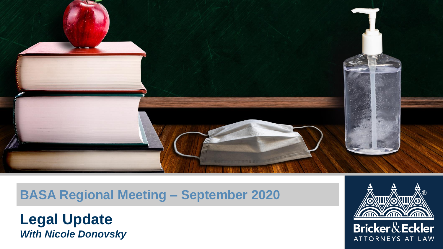

#### **BASA Regional Meeting – September 2020**

**Legal Update** *With Nicole Donovsky*

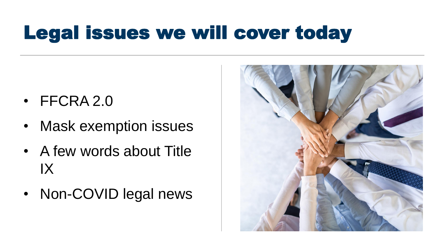### Legal issues we will cover today

- FFCRA 2.0
- Mask exemption issues
- A few words about Title IX
- Non-COVID legal news

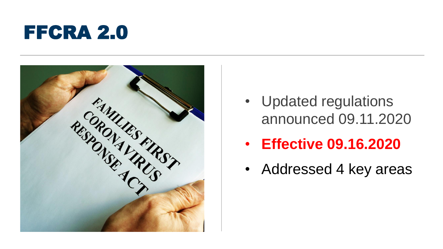



- Updated regulations announced 09.11.2020
- **Effective 09.16.2020**
- Addressed 4 key areas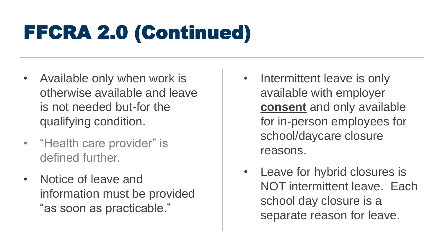# FFCRA 2.0 (Continued)

- Available only when work is otherwise available and leave is not needed but-for the qualifying condition.
- "Health care provider" is defined further.
- Notice of leave and information must be provided "as soon as practicable."
- Intermittent leave is only available with employer **consent** and only available for in-person employees for school/daycare closure reasons.
- Leave for hybrid closures is NOT intermittent leave. Each school day closure is a separate reason for leave.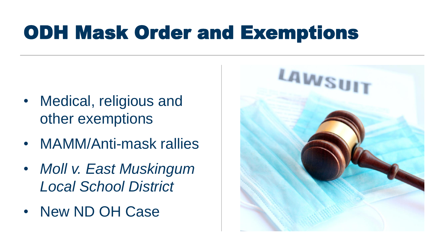### ODH Mask Order and Exemptions

- Medical, religious and other exemptions
- MAMM/Anti-mask rallies
- *Moll v. East Muskingum Local School District*
- New ND OH Case

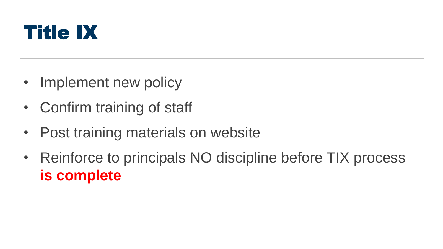

- Implement new policy
- Confirm training of staff
- Post training materials on website
- Reinforce to principals NO discipline before TIX process **is complete**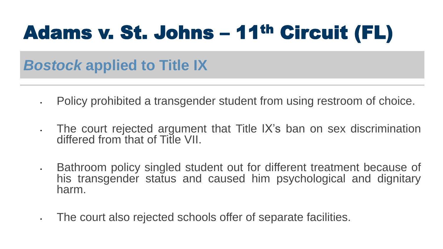## Adams v. St. Johns – 11th Circuit (FL)

### *Bostock* **applied to Title IX**

- Policy prohibited a transgender student from using restroom of choice.
- The court rejected argument that Title IX's ban on sex discrimination differed from that of Title VII.
- Bathroom policy singled student out for different treatment because of his transgender status and caused him psychological and dignitary harm.
- The court also rejected schools offer of separate facilities.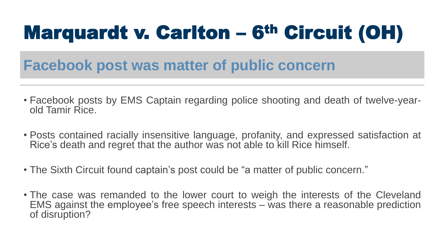# Marquardt v. Carlton – 6th Circuit (OH)

#### **Facebook post was matter of public concern**

- Facebook posts by EMS Captain regarding police shooting and death of twelve-yearold Tamir Rice.
- Posts contained racially insensitive language, profanity, and expressed satisfaction at Rice's death and regret that the author was not able to kill Rice himself.
- The Sixth Circuit found captain's post could be "a matter of public concern."
- The case was remanded to the lower court to weigh the interests of the Cleveland EMS against the employee's free speech interests – was there a reasonable prediction of disruption?